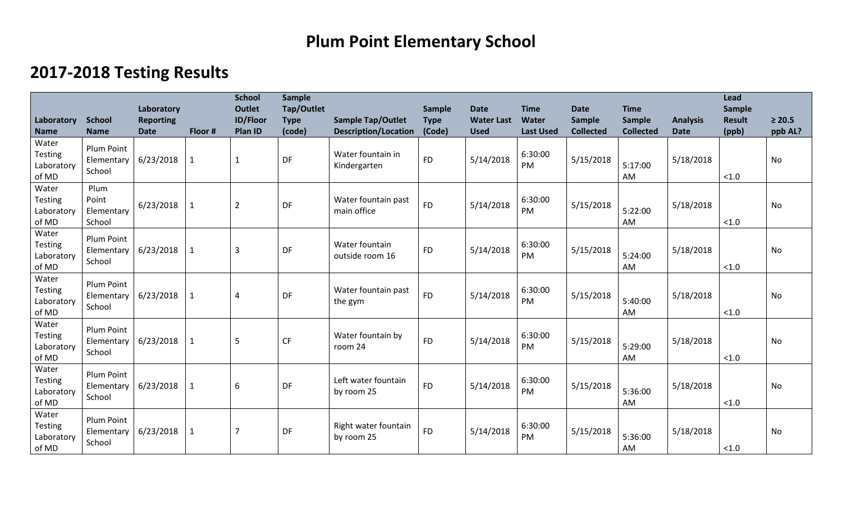## **Plum Point Elementary School**

## **2017-2018 Testing Results**

| Laboratory                                                    | <b>School</b>                                     | Laboratory<br><b>Reporting</b> |                         | <b>School</b><br><b>Outlet</b><br><b>ID/Floor</b> | <b>Sample</b><br>Tap/Outlet<br><b>Type</b> | <b>Sample Tap/Outlet</b>                                         | Sample<br><b>Type</b> | <b>Date</b><br><b>Water Last</b> | <b>Time</b><br>Water              | <b>Date</b><br><b>Sample</b>  | <b>Time</b><br>Sample             | <b>Analysis</b>          | <b>Lead</b><br><b>Sample</b><br><b>Result</b> | $\geq 20.5$   |
|---------------------------------------------------------------|---------------------------------------------------|--------------------------------|-------------------------|---------------------------------------------------|--------------------------------------------|------------------------------------------------------------------|-----------------------|----------------------------------|-----------------------------------|-------------------------------|-----------------------------------|--------------------------|-----------------------------------------------|---------------|
| <b>Name</b><br>Water<br><b>Testing</b><br>Laboratory<br>of MD | <b>Name</b><br>Plum Point<br>Elementary<br>School | <b>Date</b><br>6/23/2018       | Floor #<br>$\mathbf{1}$ | Plan ID<br>$\mathbf{1}$                           | (code)<br>DF                               | <b>Description/Location</b><br>Water fountain in<br>Kindergarten | (Code)<br><b>FD</b>   | <b>Used</b><br>5/14/2018         | <b>Last Used</b><br>6:30:00<br>PM | <b>Collected</b><br>5/15/2018 | <b>Collected</b><br>5:17:00<br>AM | <b>Date</b><br>5/18/2018 | (ppb)<br>< 1.0                                | ppb AL?<br>No |
| Water<br><b>Testing</b><br>Laboratory<br>of MD                | Plum<br>Point<br>Elementary<br>School             | 6/23/2018                      | $\mathbf{1}$            | $\overline{2}$                                    | DF                                         | Water fountain past<br>main office                               | <b>FD</b>             | 5/14/2018                        | 6:30:00<br>PM                     | 5/15/2018                     | 5:22:00<br>AM                     | 5/18/2018                | < 1.0                                         | <b>No</b>     |
| Water<br><b>Testing</b><br>Laboratory<br>of MD                | <b>Plum Point</b><br>Elementary<br>School         | 6/23/2018                      | 1                       | $\overline{3}$                                    | DF                                         | Water fountain<br>outside room 16                                | <b>FD</b>             | 5/14/2018                        | 6:30:00<br>PM                     | 5/15/2018                     | 5:24:00<br>AM                     | 5/18/2018                | < 1.0                                         | <b>No</b>     |
| Water<br><b>Testing</b><br>Laboratory<br>of MD                | Plum Point<br>Elementary<br>School                | 6/23/2018                      | $\mathbf{1}$            | 4                                                 | DF                                         | Water fountain past<br>the gym                                   | <b>FD</b>             | 5/14/2018                        | 6:30:00<br>PM                     | 5/15/2018                     | 5:40:00<br>AM                     | 5/18/2018                | < 1.0                                         | <b>No</b>     |
| Water<br><b>Testing</b><br>Laboratory<br>of MD                | Plum Point<br>Elementary<br>School                | 6/23/2018                      | $\mathbf 1$             | 5                                                 | CF                                         | Water fountain by<br>room 24                                     | <b>FD</b>             | 5/14/2018                        | 6:30:00<br>PM                     | 5/15/2018                     | 5:29:00<br>AM                     | 5/18/2018                | < 1.0                                         | <b>No</b>     |
| Water<br><b>Testing</b><br>Laboratory<br>of MD                | Plum Point<br>Elementary<br>School                | 6/23/2018                      | 1                       | 6                                                 | DF                                         | Left water fountain<br>by room 25                                | <b>FD</b>             | 5/14/2018                        | 6:30:00<br>PM                     | 5/15/2018                     | 5:36:00<br><b>AM</b>              | 5/18/2018                | < 1.0                                         | <b>No</b>     |
| Water<br><b>Testing</b><br>Laboratory<br>of MD                | Plum Point<br>Elementary<br>School                | 6/23/2018                      | $\mathbf 1$             |                                                   | DF                                         | Right water fountain<br>by room 25                               | <b>FD</b>             | 5/14/2018                        | 6:30:00<br>PM                     | 5/15/2018                     | 5:36:00<br>AM                     | 5/18/2018                | < 1.0                                         | <b>No</b>     |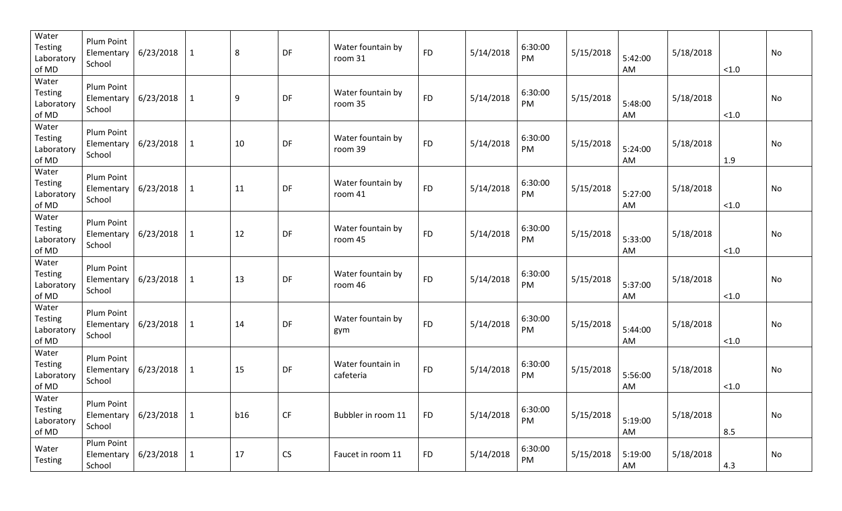| Water<br><b>Testing</b><br>Laboratory<br>of MD | Plum Point<br>Elementary<br>School               | 6/23/2018       | $\mathbf{1}$ | 8   | DF                     | Water fountain by<br>room 31   | <b>FD</b> | 5/14/2018 | 6:30:00<br>PM | 5/15/2018 | 5:42:00<br>AM | 5/18/2018 | < 1.0 | No |
|------------------------------------------------|--------------------------------------------------|-----------------|--------------|-----|------------------------|--------------------------------|-----------|-----------|---------------|-----------|---------------|-----------|-------|----|
| Water<br><b>Testing</b><br>Laboratory<br>of MD | Plum Point<br>Elementary<br>School               | 6/23/2018       | $\mathbf{1}$ | 9   | DF                     | Water fountain by<br>room 35   | <b>FD</b> | 5/14/2018 | 6:30:00<br>PM | 5/15/2018 | 5:48:00<br>AM | 5/18/2018 | < 1.0 | No |
| Water<br><b>Testing</b><br>Laboratory<br>of MD | Plum Point<br>Elementary<br>School               | 6/23/2018       | $\mathbf{1}$ | 10  | DF                     | Water fountain by<br>room 39   | <b>FD</b> | 5/14/2018 | 6:30:00<br>PM | 5/15/2018 | 5:24:00<br>AM | 5/18/2018 | 1.9   | No |
| Water<br><b>Testing</b><br>Laboratory<br>of MD | Plum Point<br>Elementary<br>School               | 6/23/2018       | $\mathbf{1}$ | 11  | DF                     | Water fountain by<br>room 41   | <b>FD</b> | 5/14/2018 | 6:30:00<br>PM | 5/15/2018 | 5:27:00<br>AM | 5/18/2018 | < 1.0 | No |
| Water<br><b>Testing</b><br>Laboratory<br>of MD | Plum Point<br>Elementary<br>School               | 6/23/2018       | $\mathbf{1}$ | 12  | DF                     | Water fountain by<br>room 45   | <b>FD</b> | 5/14/2018 | 6:30:00<br>PM | 5/15/2018 | 5:33:00<br>AM | 5/18/2018 | < 1.0 | No |
| Water<br><b>Testing</b><br>Laboratory<br>of MD | Plum Point<br>Elementary<br>School               | 6/23/2018       | $\mathbf{1}$ | 13  | DF                     | Water fountain by<br>room 46   | <b>FD</b> | 5/14/2018 | 6:30:00<br>PM | 5/15/2018 | 5:37:00<br>AM | 5/18/2018 | < 1.0 | No |
| Water<br><b>Testing</b><br>Laboratory<br>of MD | Plum Point<br>Elementary<br>School               | 6/23/2018       | $\mathbf{1}$ | 14  | DF                     | Water fountain by<br>gym       | <b>FD</b> | 5/14/2018 | 6:30:00<br>PM | 5/15/2018 | 5:44:00<br>AM | 5/18/2018 | < 1.0 | No |
| Water<br><b>Testing</b><br>Laboratory<br>of MD | Plum Point<br>Elementary<br>School               | 6/23/2018       | $\mathbf{1}$ | 15  | DF                     | Water fountain in<br>cafeteria | <b>FD</b> | 5/14/2018 | 6:30:00<br>PM | 5/15/2018 | 5:56:00<br>AM | 5/18/2018 | < 1.0 | No |
| Water<br>Testing<br>Laboratory<br>of MD        | Plum Point<br>Elementary   $6/23/2018$<br>School |                 | $\vert$ 1    | b16 | $\mathsf{C}\mathsf{F}$ | Bubbler in room 11             | <b>FD</b> | 5/14/2018 | 6:30:00<br>PM | 5/15/2018 | 5:19:00<br>AM | 5/18/2018 | 8.5   | No |
| Water<br><b>Testing</b>                        | Plum Point<br>Elementary  <br>School             | $6/23/2018$   1 |              | 17  | CS                     | Faucet in room 11              | <b>FD</b> | 5/14/2018 | 6:30:00<br>PM | 5/15/2018 | 5:19:00<br>AM | 5/18/2018 | 4.3   | No |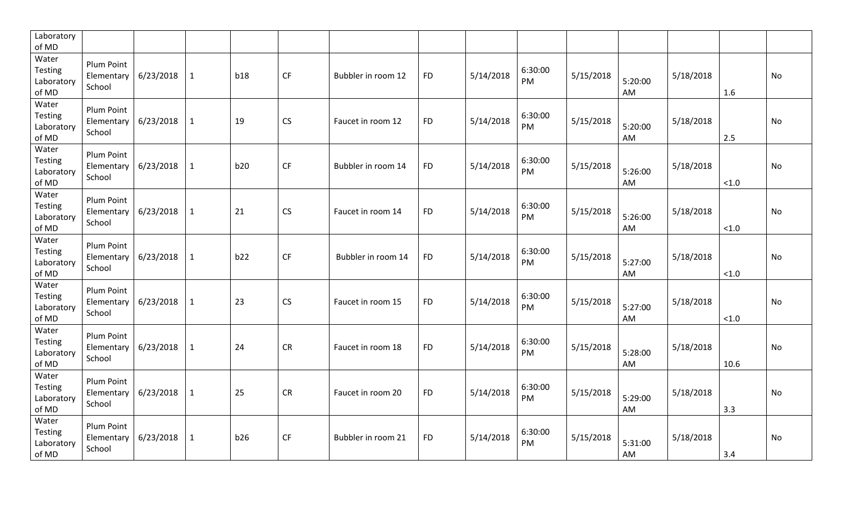| Laboratory<br>of MD                     |                                    |           |              |            |           |                    |           |           |               |           |               |           |        |           |
|-----------------------------------------|------------------------------------|-----------|--------------|------------|-----------|--------------------|-----------|-----------|---------------|-----------|---------------|-----------|--------|-----------|
| Water<br>Testing<br>Laboratory<br>of MD | Plum Point<br>Elementary<br>School | 6/23/2018 | $\mathbf{1}$ | <b>b18</b> | <b>CF</b> | Bubbler in room 12 | <b>FD</b> | 5/14/2018 | 6:30:00<br>PM | 5/15/2018 | 5:20:00<br>AM | 5/18/2018 | 1.6    | <b>No</b> |
| Water<br>Testing<br>Laboratory<br>of MD | Plum Point<br>Elementary<br>School | 6/23/2018 | $\mathbf{1}$ | 19         | CS        | Faucet in room 12  | <b>FD</b> | 5/14/2018 | 6:30:00<br>PM | 5/15/2018 | 5:20:00<br>AM | 5/18/2018 | 2.5    | No        |
| Water<br>Testing<br>Laboratory<br>of MD | Plum Point<br>Elementary<br>School | 6/23/2018 | $\mathbf{1}$ | b20        | <b>CF</b> | Bubbler in room 14 | <b>FD</b> | 5/14/2018 | 6:30:00<br>PM | 5/15/2018 | 5:26:00<br>AM | 5/18/2018 | < 1.0  | <b>No</b> |
| Water<br>Testing<br>Laboratory<br>of MD | Plum Point<br>Elementary<br>School | 6/23/2018 | $\mathbf{1}$ | 21         | CS        | Faucet in room 14  | <b>FD</b> | 5/14/2018 | 6:30:00<br>PM | 5/15/2018 | 5:26:00<br>AM | 5/18/2018 | $<1.0$ | No        |
| Water<br>Testing<br>Laboratory<br>of MD | Plum Point<br>Elementary<br>School | 6/23/2018 | $\mathbf{1}$ | b22        | CF        | Bubbler in room 14 | <b>FD</b> | 5/14/2018 | 6:30:00<br>PM | 5/15/2018 | 5:27:00<br>AM | 5/18/2018 | $<1.0$ | No        |
| Water<br>Testing<br>Laboratory<br>of MD | Plum Point<br>Elementary<br>School | 6/23/2018 | $\mathbf{1}$ | 23         | CS        | Faucet in room 15  | <b>FD</b> | 5/14/2018 | 6:30:00<br>PM | 5/15/2018 | 5:27:00<br>AM | 5/18/2018 | $<1.0$ | No        |
| Water<br>Testing<br>Laboratory<br>of MD | Plum Point<br>Elementary<br>School | 6/23/2018 | $\mathbf{1}$ | 24         | CR        | Faucet in room 18  | <b>FD</b> | 5/14/2018 | 6:30:00<br>PM | 5/15/2018 | 5:28:00<br>AM | 5/18/2018 | 10.6   | No        |
| Water<br>Testing<br>Laboratory<br>of MD | Plum Point<br>Elementary<br>School | 6/23/2018 | $\mathbf{1}$ | 25         | <b>CR</b> | Faucet in room 20  | <b>FD</b> | 5/14/2018 | 6:30:00<br>PM | 5/15/2018 | 5:29:00<br>AM | 5/18/2018 | 3.3    | No        |
| Water<br>Testing<br>Laboratory<br>of MD | Plum Point<br>Elementary<br>School | 6/23/2018 | $\mathbf{1}$ | b26        | CF        | Bubbler in room 21 | <b>FD</b> | 5/14/2018 | 6:30:00<br>PM | 5/15/2018 | 5:31:00<br>AM | 5/18/2018 | 3.4    | No        |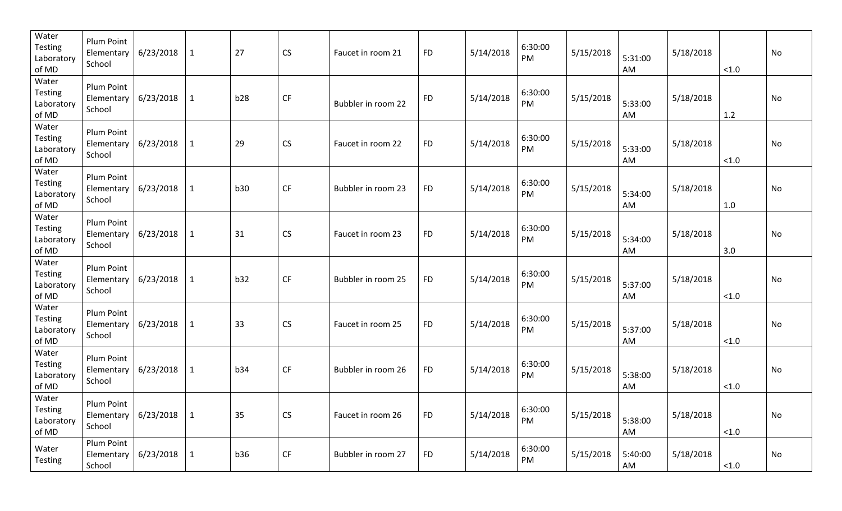| Water<br><b>Testing</b><br>Laboratory<br>of MD | Plum Point<br>Elementary<br>School        | 6/23/2018       | $\mathbf{1}$ | 27         | CS                     | Faucet in room 21  | <b>FD</b> | 5/14/2018 | 6:30:00<br>PM | 5/15/2018 | 5:31:00<br>AM | 5/18/2018 | < 1.0 | No |
|------------------------------------------------|-------------------------------------------|-----------------|--------------|------------|------------------------|--------------------|-----------|-----------|---------------|-----------|---------------|-----------|-------|----|
| Water<br><b>Testing</b><br>Laboratory<br>of MD | Plum Point<br>Elementary<br>School        | 6/23/2018       | $\mathbf{1}$ | b28        | $\mathsf{C}\mathsf{F}$ | Bubbler in room 22 | <b>FD</b> | 5/14/2018 | 6:30:00<br>PM | 5/15/2018 | 5:33:00<br>AM | 5/18/2018 | 1.2   | No |
| Water<br><b>Testing</b><br>Laboratory<br>of MD | Plum Point<br>Elementary<br>School        | 6/23/2018       | $\mathbf{1}$ | 29         | CS                     | Faucet in room 22  | <b>FD</b> | 5/14/2018 | 6:30:00<br>PM | 5/15/2018 | 5:33:00<br>AM | 5/18/2018 | < 1.0 | No |
| Water<br><b>Testing</b><br>Laboratory<br>of MD | Plum Point<br>Elementary<br>School        | 6/23/2018       | $\mathbf{1}$ | <b>b30</b> | CF                     | Bubbler in room 23 | <b>FD</b> | 5/14/2018 | 6:30:00<br>PM | 5/15/2018 | 5:34:00<br>AM | 5/18/2018 | 1.0   | No |
| Water<br><b>Testing</b><br>Laboratory<br>of MD | Plum Point<br>Elementary<br>School        | 6/23/2018       | $\mathbf{1}$ | 31         | CS                     | Faucet in room 23  | <b>FD</b> | 5/14/2018 | 6:30:00<br>PM | 5/15/2018 | 5:34:00<br>AM | 5/18/2018 | 3.0   | No |
| Water<br><b>Testing</b><br>Laboratory<br>of MD | Plum Point<br>Elementary<br>School        | 6/23/2018       | $\mathbf{1}$ | b32        | CF                     | Bubbler in room 25 | <b>FD</b> | 5/14/2018 | 6:30:00<br>PM | 5/15/2018 | 5:37:00<br>AM | 5/18/2018 | < 1.0 | No |
| Water<br><b>Testing</b><br>Laboratory<br>of MD | Plum Point<br>Elementary<br>School        | 6/23/2018       | $\mathbf{1}$ | 33         | CS                     | Faucet in room 25  | <b>FD</b> | 5/14/2018 | 6:30:00<br>PM | 5/15/2018 | 5:37:00<br>AM | 5/18/2018 | < 1.0 | No |
| Water<br><b>Testing</b><br>Laboratory<br>of MD | <b>Plum Point</b><br>Elementary<br>School | 6/23/2018       | $\mathbf{1}$ | <b>b34</b> | CF                     | Bubbler in room 26 | <b>FD</b> | 5/14/2018 | 6:30:00<br>PM | 5/15/2018 | 5:38:00<br>AM | 5/18/2018 | < 1.0 | No |
| Water<br>Testing<br>Laboratory<br>of MD        | Plum Point<br>Elementary  <br>School      | 6/23/2018       | $\vert$ 1    | 35         | CS                     | Faucet in room 26  | <b>FD</b> | 5/14/2018 | 6:30:00<br>PM | 5/15/2018 | 5:38:00<br>AM | 5/18/2018 | < 1.0 | No |
| Water<br><b>Testing</b>                        | Plum Point<br>Elementary<br>School        | $6/23/2018$   1 |              | <b>b36</b> | CF                     | Bubbler in room 27 | <b>FD</b> | 5/14/2018 | 6:30:00<br>PM | 5/15/2018 | 5:40:00<br>AM | 5/18/2018 | < 1.0 | No |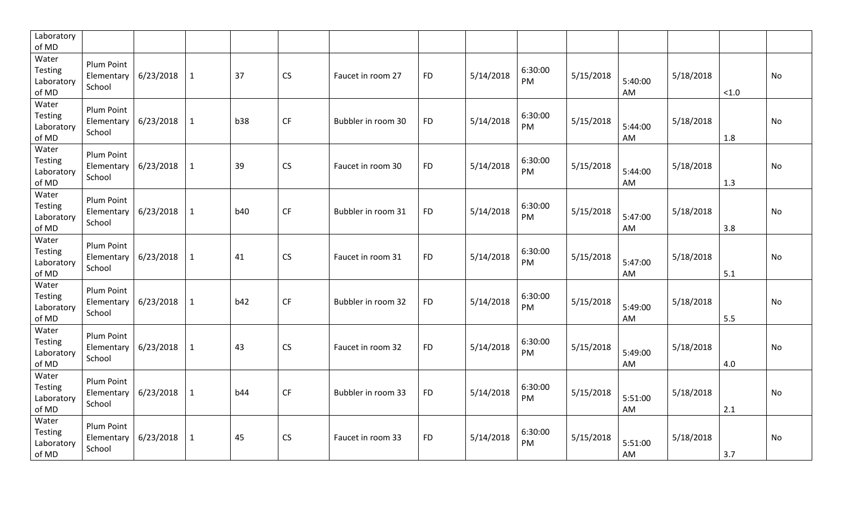| Laboratory<br>of MD                     |                                    |           |              |            |           |                    |           |           |               |           |               |           |       |           |
|-----------------------------------------|------------------------------------|-----------|--------------|------------|-----------|--------------------|-----------|-----------|---------------|-----------|---------------|-----------|-------|-----------|
| Water<br>Testing<br>Laboratory<br>of MD | Plum Point<br>Elementary<br>School | 6/23/2018 | $\mathbf{1}$ | 37         | CS        | Faucet in room 27  | <b>FD</b> | 5/14/2018 | 6:30:00<br>PM | 5/15/2018 | 5:40:00<br>AM | 5/18/2018 | < 1.0 | <b>No</b> |
| Water<br>Testing<br>Laboratory<br>of MD | Plum Point<br>Elementary<br>School | 6/23/2018 | $\mathbf{1}$ | b38        | CF        | Bubbler in room 30 | <b>FD</b> | 5/14/2018 | 6:30:00<br>PM | 5/15/2018 | 5:44:00<br>AM | 5/18/2018 | 1.8   | No        |
| Water<br>Testing<br>Laboratory<br>of MD | Plum Point<br>Elementary<br>School | 6/23/2018 | $\mathbf{1}$ | 39         | <b>CS</b> | Faucet in room 30  | <b>FD</b> | 5/14/2018 | 6:30:00<br>PM | 5/15/2018 | 5:44:00<br>AM | 5/18/2018 | 1.3   | <b>No</b> |
| Water<br>Testing<br>Laboratory<br>of MD | Plum Point<br>Elementary<br>School | 6/23/2018 | $\mathbf{1}$ | <b>b40</b> | CF        | Bubbler in room 31 | <b>FD</b> | 5/14/2018 | 6:30:00<br>PM | 5/15/2018 | 5:47:00<br>AM | 5/18/2018 | 3.8   | No        |
| Water<br>Testing<br>Laboratory<br>of MD | Plum Point<br>Elementary<br>School | 6/23/2018 | $\mathbf{1}$ | 41         | <b>CS</b> | Faucet in room 31  | <b>FD</b> | 5/14/2018 | 6:30:00<br>PM | 5/15/2018 | 5:47:00<br>AM | 5/18/2018 | 5.1   | No        |
| Water<br>Testing<br>Laboratory<br>of MD | Plum Point<br>Elementary<br>School | 6/23/2018 | $\mathbf{1}$ | b42        | CF        | Bubbler in room 32 | <b>FD</b> | 5/14/2018 | 6:30:00<br>PM | 5/15/2018 | 5:49:00<br>AM | 5/18/2018 | 5.5   | No        |
| Water<br>Testing<br>Laboratory<br>of MD | Plum Point<br>Elementary<br>School | 6/23/2018 | $\mathbf{1}$ | 43         | CS        | Faucet in room 32  | <b>FD</b> | 5/14/2018 | 6:30:00<br>PM | 5/15/2018 | 5:49:00<br>AM | 5/18/2018 | 4.0   | No        |
| Water<br>Testing<br>Laboratory<br>of MD | Plum Point<br>Elementary<br>School | 6/23/2018 | $\mathbf{1}$ | <b>b44</b> | <b>CF</b> | Bubbler in room 33 | <b>FD</b> | 5/14/2018 | 6:30:00<br>PM | 5/15/2018 | 5:51:00<br>AM | 5/18/2018 | 2.1   | No        |
| Water<br>Testing<br>Laboratory<br>of MD | Plum Point<br>Elementary<br>School | 6/23/2018 | $\mathbf{1}$ | 45         | <b>CS</b> | Faucet in room 33  | <b>FD</b> | 5/14/2018 | 6:30:00<br>PM | 5/15/2018 | 5:51:00<br>AM | 5/18/2018 | 3.7   | No        |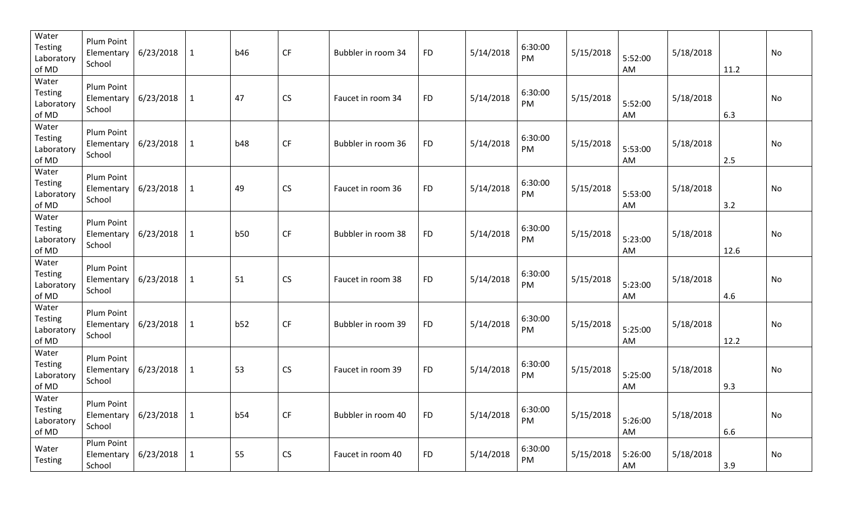| Water<br><b>Testing</b><br>Laboratory<br>of MD | <b>Plum Point</b><br>Elementary<br>School | 6/23/2018       | $\mathbf{1}$ | <b>b46</b> | CF                     | Bubbler in room 34 | <b>FD</b> | 5/14/2018 | 6:30:00<br>PM | 5/15/2018 | 5:52:00<br>AM | 5/18/2018 | 11.2 | No |
|------------------------------------------------|-------------------------------------------|-----------------|--------------|------------|------------------------|--------------------|-----------|-----------|---------------|-----------|---------------|-----------|------|----|
| Water<br><b>Testing</b><br>Laboratory<br>of MD | Plum Point<br>Elementary<br>School        | 6/23/2018       | $\mathbf{1}$ | 47         | CS                     | Faucet in room 34  | <b>FD</b> | 5/14/2018 | 6:30:00<br>PM | 5/15/2018 | 5:52:00<br>AM | 5/18/2018 | 6.3  | No |
| Water<br><b>Testing</b><br>Laboratory<br>of MD | Plum Point<br>Elementary<br>School        | 6/23/2018       | $\mathbf{1}$ | <b>b48</b> | CF                     | Bubbler in room 36 | <b>FD</b> | 5/14/2018 | 6:30:00<br>PM | 5/15/2018 | 5:53:00<br>AM | 5/18/2018 | 2.5  | No |
| Water<br><b>Testing</b><br>Laboratory<br>of MD | Plum Point<br>Elementary<br>School        | 6/23/2018       | $\mathbf{1}$ | 49         | CS                     | Faucet in room 36  | <b>FD</b> | 5/14/2018 | 6:30:00<br>PM | 5/15/2018 | 5:53:00<br>AM | 5/18/2018 | 3.2  | No |
| Water<br><b>Testing</b><br>Laboratory<br>of MD | Plum Point<br>Elementary<br>School        | 6/23/2018       | $\mathbf{1}$ | <b>b50</b> | CF                     | Bubbler in room 38 | <b>FD</b> | 5/14/2018 | 6:30:00<br>PM | 5/15/2018 | 5:23:00<br>AM | 5/18/2018 | 12.6 | No |
| Water<br><b>Testing</b><br>Laboratory<br>of MD | Plum Point<br>Elementary<br>School        | 6/23/2018       | $\mathbf{1}$ | 51         | CS                     | Faucet in room 38  | <b>FD</b> | 5/14/2018 | 6:30:00<br>PM | 5/15/2018 | 5:23:00<br>AM | 5/18/2018 | 4.6  | No |
| Water<br><b>Testing</b><br>Laboratory<br>of MD | <b>Plum Point</b><br>Elementary<br>School | 6/23/2018       | $\mathbf{1}$ | b52        | $\mathsf{C}\mathsf{F}$ | Bubbler in room 39 | <b>FD</b> | 5/14/2018 | 6:30:00<br>PM | 5/15/2018 | 5:25:00<br>AM | 5/18/2018 | 12.2 | No |
| Water<br><b>Testing</b><br>Laboratory<br>of MD | <b>Plum Point</b><br>Elementary<br>School | 6/23/2018       | $\mathbf{1}$ | 53         | CS                     | Faucet in room 39  | <b>FD</b> | 5/14/2018 | 6:30:00<br>PM | 5/15/2018 | 5:25:00<br>AM | 5/18/2018 | 9.3  | No |
| Water<br>Testing<br>Laboratory<br>of MD        | Plum Point<br>Elementary  <br>School      | 6/23/2018       | $\vert$ 1    | b54        | CF                     | Bubbler in room 40 | <b>FD</b> | 5/14/2018 | 6:30:00<br>PM | 5/15/2018 | 5:26:00<br>AM | 5/18/2018 | 6.6  | No |
| Water<br><b>Testing</b>                        | Plum Point<br>Elementary  <br>School      | $6/23/2018$   1 |              | 55         | CS                     | Faucet in room 40  | <b>FD</b> | 5/14/2018 | 6:30:00<br>PM | 5/15/2018 | 5:26:00<br>AM | 5/18/2018 | 3.9  | No |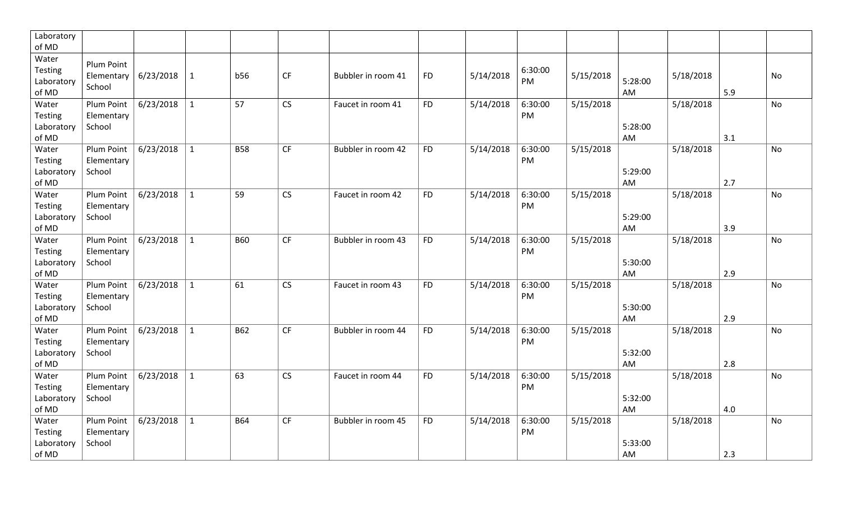| Laboratory<br>of MD                            |                                                  |           |              |            |           |                    |           |           |               |           |                            |     |           |
|------------------------------------------------|--------------------------------------------------|-----------|--------------|------------|-----------|--------------------|-----------|-----------|---------------|-----------|----------------------------|-----|-----------|
| Water<br>Testing<br>Laboratory<br>of MD        | Plum Point<br>Elementary   $6/23/2018$<br>School |           | $\mathbf{1}$ | <b>b56</b> | CF        | Bubbler in room 41 | <b>FD</b> | 5/14/2018 | 6:30:00<br>PM | 5/15/2018 | 5/18/2018<br>5:28:00<br>AM | 5.9 | No        |
| Water<br>Testing<br>Laboratory<br>of MD        | Plum Point<br>Elementary<br>School               | 6/23/2018 | $\mathbf{1}$ | 57         | <b>CS</b> | Faucet in room 41  | <b>FD</b> | 5/14/2018 | 6:30:00<br>PM | 5/15/2018 | 5/18/2018<br>5:28:00<br>AM | 3.1 | <b>No</b> |
| Water<br>Testing<br>Laboratory<br>of MD        | Plum Point<br>Elementary<br>School               | 6/23/2018 | $\mathbf{1}$ | <b>B58</b> | CF        | Bubbler in room 42 | <b>FD</b> | 5/14/2018 | 6:30:00<br>PM | 5/15/2018 | 5/18/2018<br>5:29:00<br>AM | 2.7 | No        |
| Water<br>Testing<br>Laboratory<br>of MD        | Plum Point<br>Elementary<br>School               | 6/23/2018 | $\mathbf{1}$ | 59         | <b>CS</b> | Faucet in room 42  | <b>FD</b> | 5/14/2018 | 6:30:00<br>PM | 5/15/2018 | 5/18/2018<br>5:29:00<br>AM | 3.9 | <b>No</b> |
| Water<br>Testing<br>Laboratory<br>of MD        | Plum Point<br>Elementary<br>School               | 6/23/2018 | $\mathbf{1}$ | <b>B60</b> | <b>CF</b> | Bubbler in room 43 | <b>FD</b> | 5/14/2018 | 6:30:00<br>PM | 5/15/2018 | 5/18/2018<br>5:30:00<br>AM | 2.9 | No        |
| Water<br><b>Testing</b><br>Laboratory<br>of MD | Plum Point<br>Elementary<br>School               | 6/23/2018 | $\mathbf{1}$ | 61         | CS        | Faucet in room 43  | <b>FD</b> | 5/14/2018 | 6:30:00<br>PM | 5/15/2018 | 5/18/2018<br>5:30:00<br>AM | 2.9 | No        |
| Water<br><b>Testing</b><br>Laboratory<br>of MD | Plum Point<br>Elementary<br>School               | 6/23/2018 | $\mathbf{1}$ | <b>B62</b> | <b>CF</b> | Bubbler in room 44 | <b>FD</b> | 5/14/2018 | 6:30:00<br>PM | 5/15/2018 | 5/18/2018<br>5:32:00<br>AM | 2.8 | No        |
| Water<br>Testing<br>Laboratory<br>of MD        | Plum Point<br>Elementary<br>School               | 6/23/2018 | $\mathbf{1}$ | 63         | CS        | Faucet in room 44  | <b>FD</b> | 5/14/2018 | 6:30:00<br>PM | 5/15/2018 | 5/18/2018<br>5:32:00<br>AM | 4.0 | No        |
| Water<br>Testing<br>Laboratory<br>of MD        | Plum Point<br>Elementary<br>School               | 6/23/2018 | $\mathbf{1}$ | <b>B64</b> | <b>CF</b> | Bubbler in room 45 | <b>FD</b> | 5/14/2018 | 6:30:00<br>PM | 5/15/2018 | 5/18/2018<br>5:33:00<br>AM | 2.3 | No        |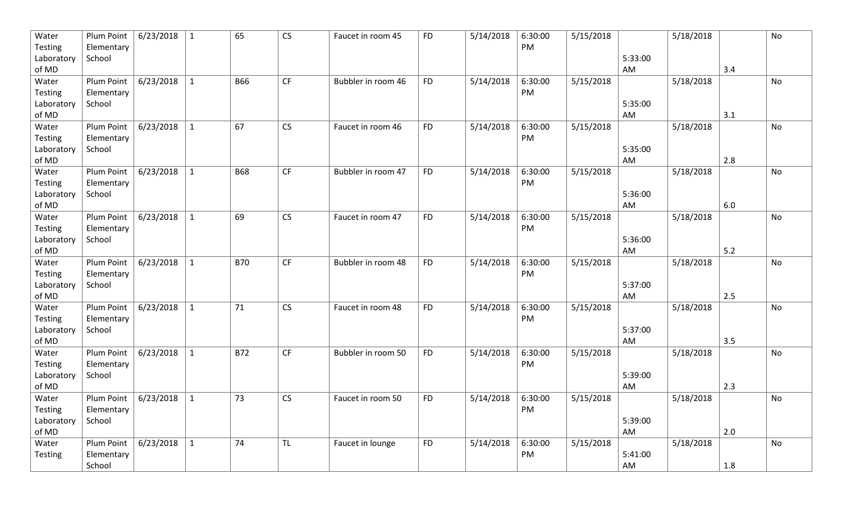| Water               | Plum Point                   | 6/23/2018 | $\mathbf{1}$ | 65         | CS        | Faucet in room 45  | <b>FD</b> | 5/14/2018 | 6:30:00 | 5/15/2018 |               | 5/18/2018 |     | No |
|---------------------|------------------------------|-----------|--------------|------------|-----------|--------------------|-----------|-----------|---------|-----------|---------------|-----------|-----|----|
| <b>Testing</b>      | Elementary                   |           |              |            |           |                    |           |           | PM      |           |               |           |     |    |
| Laboratory          | School                       |           |              |            |           |                    |           |           |         |           | 5:33:00<br>AM |           |     |    |
| of MD<br>Water      | Plum Point                   | 6/23/2018 | $\mathbf{1}$ | <b>B66</b> | CF        | Bubbler in room 46 | <b>FD</b> | 5/14/2018 | 6:30:00 | 5/15/2018 |               | 5/18/2018 | 3.4 | No |
| <b>Testing</b>      | Elementary                   |           |              |            |           |                    |           |           | PM      |           |               |           |     |    |
| Laboratory          | School                       |           |              |            |           |                    |           |           |         |           | 5:35:00       |           |     |    |
| of MD               |                              |           |              |            |           |                    |           |           |         |           | AM            |           | 3.1 |    |
| Water               | Plum Point                   | 6/23/2018 | $\mathbf{1}$ | 67         | CS        | Faucet in room 46  | <b>FD</b> | 5/14/2018 | 6:30:00 | 5/15/2018 |               | 5/18/2018 |     | No |
| <b>Testing</b>      | Elementary                   |           |              |            |           |                    |           |           | PM      |           |               |           |     |    |
| Laboratory          | School                       |           |              |            |           |                    |           |           |         |           | 5:35:00       |           |     |    |
| of MD               |                              |           |              |            |           |                    |           |           |         |           | AM            |           | 2.8 |    |
| Water               | Plum Point                   | 6/23/2018 | $\mathbf{1}$ | <b>B68</b> | CF        | Bubbler in room 47 | <b>FD</b> | 5/14/2018 | 6:30:00 | 5/15/2018 |               | 5/18/2018 |     | No |
| <b>Testing</b>      | Elementary                   |           |              |            |           |                    |           |           | PM      |           |               |           |     |    |
| Laboratory          | School                       |           |              |            |           |                    |           |           |         |           | 5:36:00       |           |     |    |
| of MD               |                              |           |              |            |           |                    |           |           |         |           | AM            |           | 6.0 |    |
| Water               | Plum Point                   | 6/23/2018 | $\mathbf{1}$ | 69         | CS        | Faucet in room 47  | <b>FD</b> | 5/14/2018 | 6:30:00 | 5/15/2018 |               | 5/18/2018 |     | No |
| Testing             | Elementary                   |           |              |            |           |                    |           |           | PM      |           |               |           |     |    |
| Laboratory          | School                       |           |              |            |           |                    |           |           |         |           | 5:36:00       |           |     |    |
| of MD               |                              |           |              |            |           |                    |           |           |         |           | AM            |           | 5.2 |    |
| Water               | Plum Point                   | 6/23/2018 | $\mathbf{1}$ | <b>B70</b> | CF        | Bubbler in room 48 | <b>FD</b> | 5/14/2018 | 6:30:00 | 5/15/2018 |               | 5/18/2018 |     | No |
| Testing             | Elementary<br>School         |           |              |            |           |                    |           |           | PM      |           | 5:37:00       |           |     |    |
| Laboratory<br>of MD |                              |           |              |            |           |                    |           |           |         |           | AM            |           | 2.5 |    |
| Water               | Plum Point                   | 6/23/2018 | $\mathbf{1}$ | 71         | CS        | Faucet in room 48  | <b>FD</b> | 5/14/2018 | 6:30:00 | 5/15/2018 |               | 5/18/2018 |     | No |
| Testing             | Elementary                   |           |              |            |           |                    |           |           | PM      |           |               |           |     |    |
| Laboratory          | School                       |           |              |            |           |                    |           |           |         |           | 5:37:00       |           |     |    |
| of MD               |                              |           |              |            |           |                    |           |           |         |           | AM            |           | 3.5 |    |
| Water               | Plum Point                   | 6/23/2018 | $\mathbf{1}$ | <b>B72</b> | CF        | Bubbler in room 50 | <b>FD</b> | 5/14/2018 | 6:30:00 | 5/15/2018 |               | 5/18/2018 |     | No |
| <b>Testing</b>      | Elementary                   |           |              |            |           |                    |           |           | PM      |           |               |           |     |    |
| Laboratory          | School                       |           |              |            |           |                    |           |           |         |           | 5:39:00       |           |     |    |
| of MD               |                              |           |              |            |           |                    |           |           |         |           | AM            |           | 2.3 |    |
| Water               | Plum Point   $6/23/2018$     |           | $\mathbf 1$  | 73         | CS        | Faucet in room 50  | <b>FD</b> | 5/14/2018 | 6:30:00 | 5/15/2018 |               | 5/18/2018 |     | No |
| Testing             | Elementary                   |           |              |            |           |                    |           |           | PM      |           |               |           |     |    |
| Laboratory          | School                       |           |              |            |           |                    |           |           |         |           | 5:39:00       |           |     |    |
| of MD               |                              |           |              |            |           |                    |           |           |         |           | AM            |           | 2.0 |    |
| Water               | Plum Point $\vert$ 6/23/2018 |           | $\mathbf{1}$ | 74         | <b>TL</b> | Faucet in lounge   | <b>FD</b> | 5/14/2018 | 6:30:00 | 5/15/2018 |               | 5/18/2018 |     | No |
| Testing             | Elementary                   |           |              |            |           |                    |           |           | PM      |           | 5:41:00       |           |     |    |
|                     | School                       |           |              |            |           |                    |           |           |         |           | AM            |           | 1.8 |    |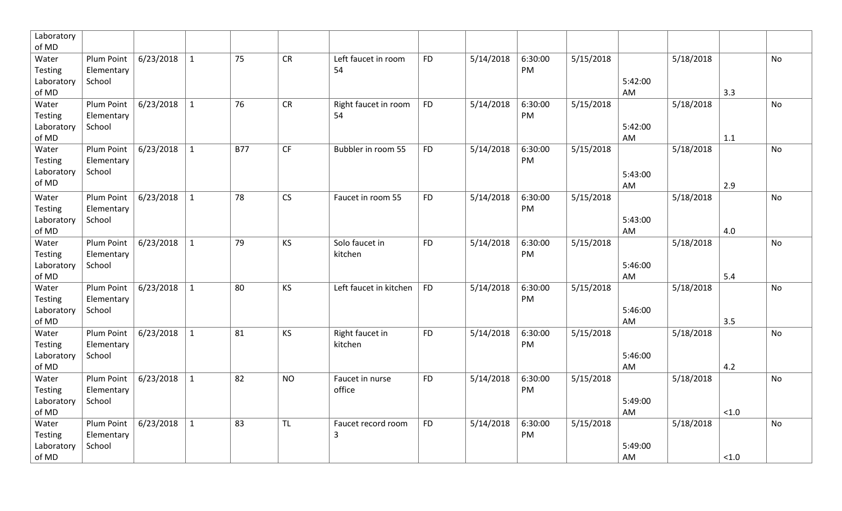| Laboratory          |                          |           |              |            |           |                                      |           |           |               |                       |               |           |        |           |
|---------------------|--------------------------|-----------|--------------|------------|-----------|--------------------------------------|-----------|-----------|---------------|-----------------------|---------------|-----------|--------|-----------|
| of MD               |                          | 6/23/2018 | $\mathbf{1}$ | 75         | <b>CR</b> | Left faucet in room                  | <b>FD</b> | 5/14/2018 | 6:30:00       |                       |               |           |        | <b>No</b> |
| Water<br>Testing    | Plum Point<br>Elementary |           |              |            |           | 54                                   |           |           | PM            | 5/15/2018             |               | 5/18/2018 |        |           |
| Laboratory          | School                   |           |              |            |           |                                      |           |           |               |                       | 5:42:00       |           |        |           |
| of MD               |                          |           |              |            |           |                                      |           |           |               |                       | AM            |           | 3.3    |           |
| Water               | Plum Point               | 6/23/2018 | $\mathbf{1}$ | 76         | CR        | Right faucet in room                 | <b>FD</b> | 5/14/2018 | 6:30:00       | 5/15/2018             |               | 5/18/2018 |        | No        |
| Testing             | Elementary               |           |              |            |           | 54                                   |           |           | PM            |                       |               |           |        |           |
| Laboratory          | School                   |           |              |            |           |                                      |           |           |               |                       | 5:42:00       |           |        |           |
| of MD               |                          |           |              |            |           |                                      |           |           |               |                       | AM            |           | 1.1    |           |
| Water               | Plum Point               | 6/23/2018 | $\mathbf{1}$ | <b>B77</b> | CF        | Bubbler in room 55                   | <b>FD</b> | 5/14/2018 | 6:30:00       | $\frac{1}{5}/15/2018$ |               | 5/18/2018 |        | No        |
| Testing             | Elementary<br>School     |           |              |            |           |                                      |           |           | PM            |                       |               |           |        |           |
| Laboratory<br>of MD |                          |           |              |            |           |                                      |           |           |               |                       | 5:43:00       |           |        |           |
|                     | Plum Point               | 6/23/2018 | $\mathbf{1}$ | 78         | CS        | Faucet in room 55                    | <b>FD</b> |           | 6:30:00       |                       | AM            |           | 2.9    | <b>No</b> |
| Water<br>Testing    | Elementary               |           |              |            |           |                                      |           | 5/14/2018 | PM            | 5/15/2018             |               | 5/18/2018 |        |           |
| Laboratory          | School                   |           |              |            |           |                                      |           |           |               |                       | 5:43:00       |           |        |           |
| of MD               |                          |           |              |            |           |                                      |           |           |               |                       | AM            |           | 4.0    |           |
| Water               | Plum Point               | 6/23/2018 | $\mathbf{1}$ | 79         | KS        | Solo faucet in                       | <b>FD</b> | 5/14/2018 | 6:30:00       | 5/15/2018             |               | 5/18/2018 |        | No        |
| Testing             | Elementary               |           |              |            |           | kitchen                              |           |           | PM            |                       |               |           |        |           |
| Laboratory          | School                   |           |              |            |           |                                      |           |           |               |                       | 5:46:00       |           |        |           |
| of MD               |                          |           |              |            |           |                                      |           |           |               |                       | AM            |           | 5.4    |           |
| Water               | Plum Point               | 6/23/2018 | $\mathbf{1}$ | 80         | KS        | Left faucet in kitchen               | <b>FD</b> | 5/14/2018 | 6:30:00       | 5/15/2018             |               | 5/18/2018 |        | No        |
| Testing             | Elementary               |           |              |            |           |                                      |           |           | PM            |                       |               |           |        |           |
| Laboratory<br>of MD | School                   |           |              |            |           |                                      |           |           |               |                       | 5:46:00<br>AM |           | 3.5    |           |
| Water               | Plum Point               | 6/23/2018 | $\mathbf{1}$ | 81         | KS        | Right faucet in                      | <b>FD</b> | 5/14/2018 | 6:30:00       | 5/15/2018             |               | 5/18/2018 |        | No        |
| <b>Testing</b>      | Elementary               |           |              |            |           | kitchen                              |           |           | PM            |                       |               |           |        |           |
| Laboratory          | School                   |           |              |            |           |                                      |           |           |               |                       | 5:46:00       |           |        |           |
| of MD               |                          |           |              |            |           |                                      |           |           |               |                       | AM            |           | 4.2    |           |
| Water               | Plum Point               | 6/23/2018 | $\mathbf{1}$ | 82         | <b>NO</b> | Faucet in nurse                      | <b>FD</b> | 5/14/2018 | 6:30:00       | 5/15/2018             |               | 5/18/2018 |        | No        |
| Testing             | Elementary               |           |              |            |           | office                               |           |           | PM            |                       |               |           |        |           |
| Laboratory          | School                   |           |              |            |           |                                      |           |           |               |                       | 5:49:00       |           |        |           |
| of MD               |                          |           |              |            |           |                                      |           |           |               |                       | AM            |           | < 1.0  |           |
| Water<br>Testing    | Plum Point<br>Elementary | 6/23/2018 | $\mathbf{1}$ | 83         | <b>TL</b> | Faucet record room<br>$\overline{3}$ | <b>FD</b> | 5/14/2018 | 6:30:00<br>PM | 5/15/2018             |               | 5/18/2018 |        | <b>No</b> |
| Laboratory          | School                   |           |              |            |           |                                      |           |           |               |                       | 5:49:00       |           |        |           |
| of MD               |                          |           |              |            |           |                                      |           |           |               |                       | AM            |           | $<1.0$ |           |